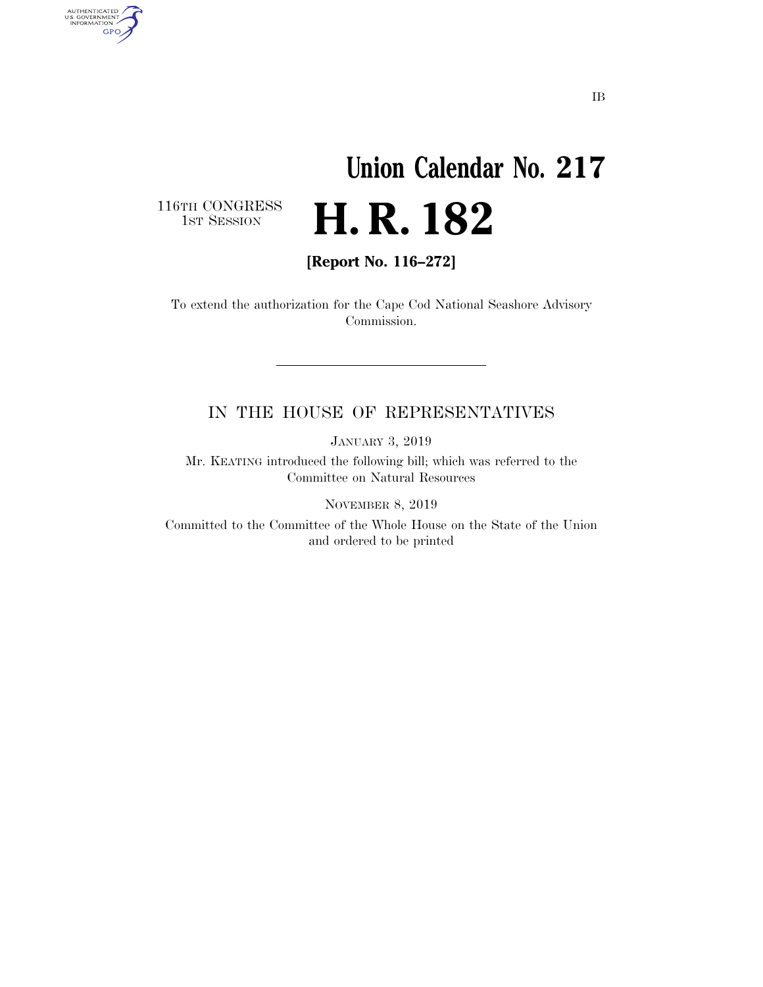# **Union Calendar No. 217**  H. R. 182

116TH CONGRESS<br>1st Session

AUTHENTICATED<br>U.S. GOVERNMENT<br>INFORMATION GPO

**[Report No. 116–272]** 

To extend the authorization for the Cape Cod National Seashore Advisory Commission.

#### IN THE HOUSE OF REPRESENTATIVES

JANUARY 3, 2019

Mr. KEATING introduced the following bill; which was referred to the Committee on Natural Resources

NOVEMBER 8, 2019

Committed to the Committee of the Whole House on the State of the Union and ordered to be printed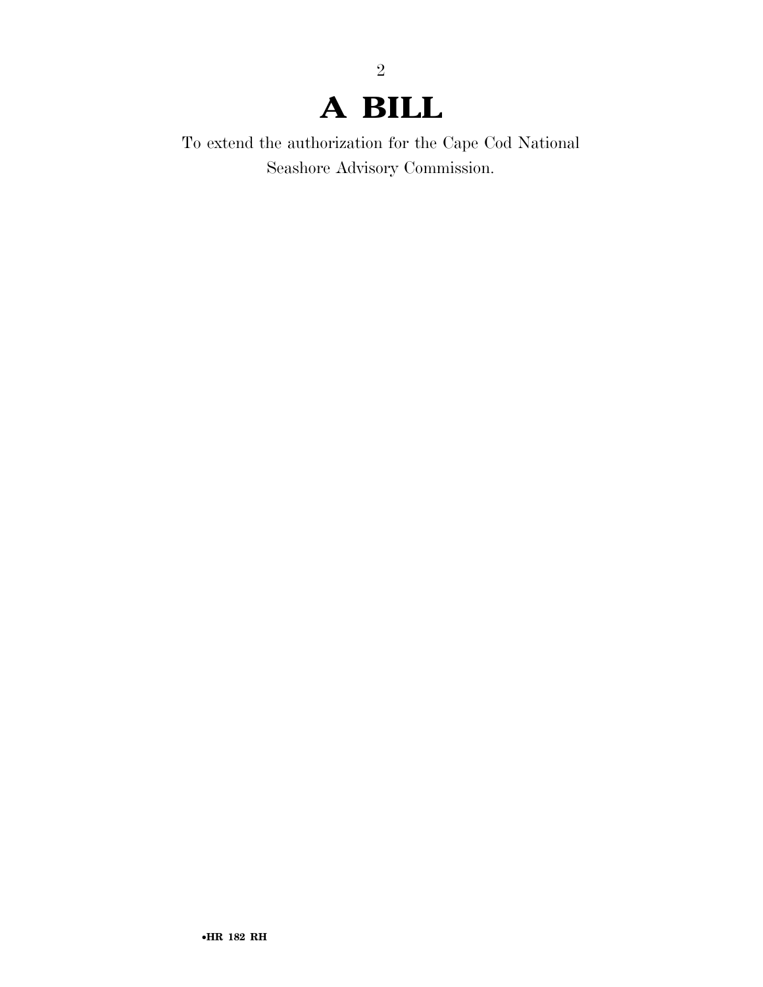## **A BILL**

2

To extend the authorization for the Cape Cod National Seashore Advisory Commission.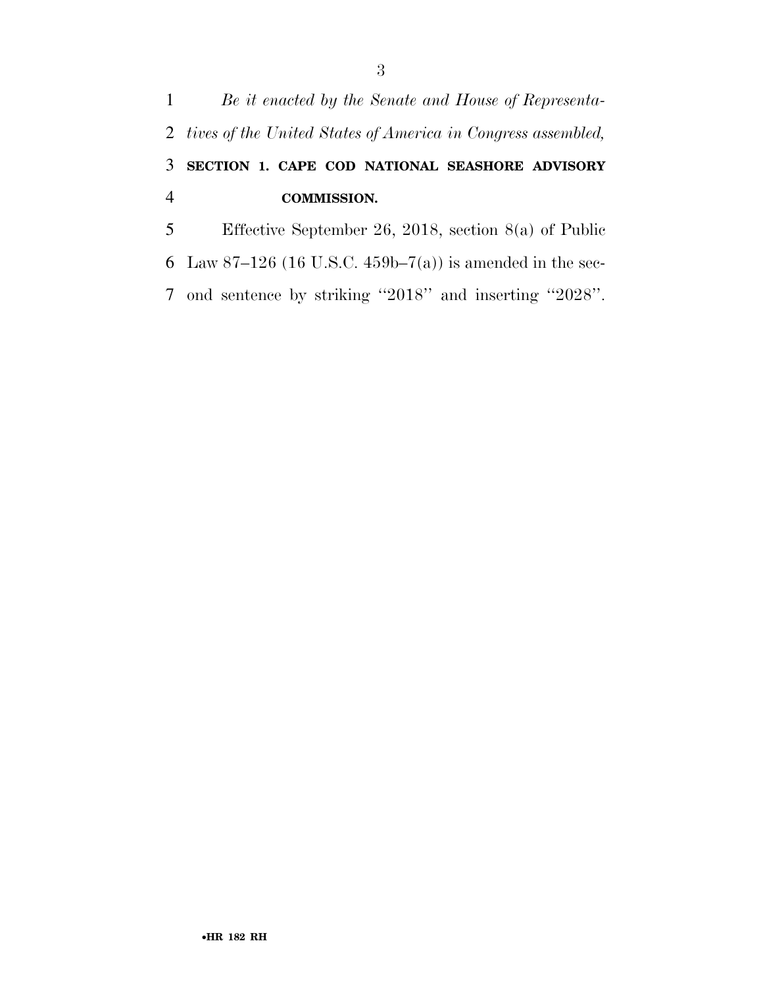### *Be it enacted by the Senate and House of Representa- tives of the United States of America in Congress assembled,*  **SECTION 1. CAPE COD NATIONAL SEASHORE ADVISORY COMMISSION.**  Effective September 26, 2018, section 8(a) of Public 6 Law 87-126 (16 U.S.C. 459b-7(a)) is amended in the sec-

ond sentence by striking ''2018'' and inserting ''2028''.